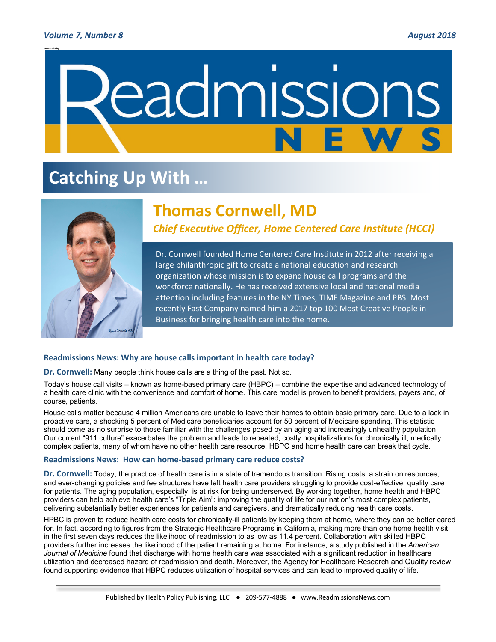### *Volume 7, Number 8**August 2018*



# **Catching Up With …**



# **Thomas Cornwell, MD**

*Chief Executive Officer, Home Centered Care Institute (HCCI)*

Dr. Cornwell founded Home Centered Care Institute in 2012 after receiving a large philanthropic gift to create a national education and research organization whose mission is to expand house call programs and the workforce nationally. He has received extensive local and national media attention including features in the NY Times, TIME Magazine and PBS. Most recently Fast Company named him a 2017 top 100 Most Creative People in Business for bringing health care into the home.

## **Readmissions News: Why are house calls important in health care today?**

**Dr. Cornwell:** Many people think house calls are a thing of the past. Not so.

Today's house call visits – known as home-based primary care (HBPC) – combine the expertise and advanced technology of a health care clinic with the convenience and comfort of home. This care model is proven to benefit providers, payers and, of course, patients.

House calls matter because 4 million Americans are unable to leave their homes to obtain basic primary care. Due to a lack in proactive care, a shocking 5 percent of Medicare beneficiaries account for 50 percent of Medicare spending. This statistic should come as no surprise to those familiar with the challenges posed by an aging and increasingly unhealthy population. Our current "911 culture" exacerbates the problem and leads to repeated, costly hospitalizations for chronically ill, medically complex patients, many of whom have no other health care resource. HBPC and home health care can break that cycle.

#### **Readmissions News: How can home-based primary care reduce costs?**

**Dr. Cornwell:** Today, the practice of health care is in a state of tremendous transition. Rising costs, a strain on resources, and ever-changing policies and fee structures have left health care providers struggling to provide cost-effective, quality care for patients. The aging population, especially, is at risk for being underserved. By working together, home health and HBPC providers can help achieve health care's "Triple Aim": improving the quality of life for our nation's most complex patients, delivering substantially better experiences for patients and caregivers, and dramatically reducing health care costs.

HPBC is proven to reduce health care costs for chronically-ill patients by keeping them at home, where they can be better cared for. In fact, according to figures from the Strategic Healthcare Programs in California, making more than one home health visit in the first seven days reduces the likelihood of readmission to as low as 11.4 percent. Collaboration with skilled HBPC providers further increases the likelihood of the patient remaining at home. For instance, a study published in the *American Journal of Medicine* found that discharge with home health care was associated with a significant reduction in healthcare utilization and decreased hazard of readmission and death. Moreover, the Agency for Healthcare Research and Quality review found supporting evidence that HBPC reduces utilization of hospital services and can lead to improved quality of life.